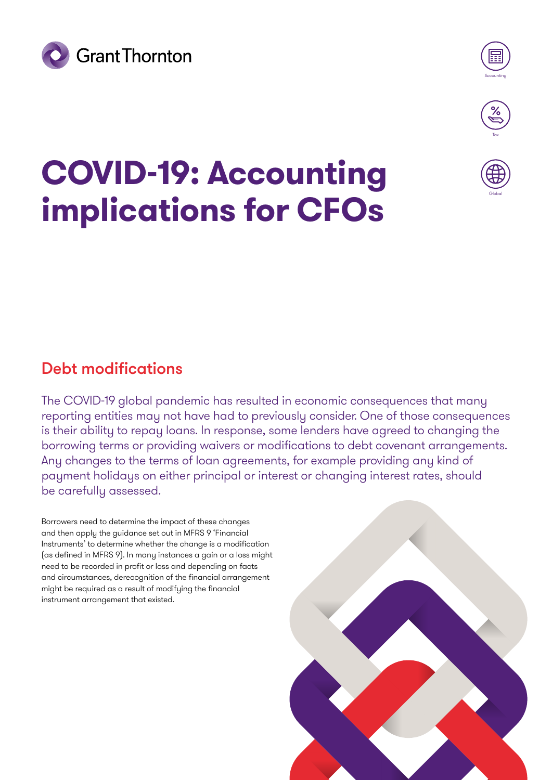



Globa

## **COVID-19: Accounting implications for CFOs**

## Debt modifications

The COVID-19 global pandemic has resulted in economic consequences that many reporting entities may not have had to previously consider. One of those consequences is their ability to repay loans. In response, some lenders have agreed to changing the borrowing terms or providing waivers or modifications to debt covenant arrangements. Any changes to the terms of loan agreements, for example providing any kind of payment holidays on either principal or interest or changing interest rates, should be carefully assessed.

Borrowers need to determine the impact of these changes and then apply the guidance set out in MFRS 9 'Financial Instruments' to determine whether the change is a modification (as defined in MFRS 9). In many instances a gain or a loss might need to be recorded in profit or loss and depending on facts and circumstances, derecognition of the financial arrangement might be required as a result of modifying the financial instrument arrangement that existed.

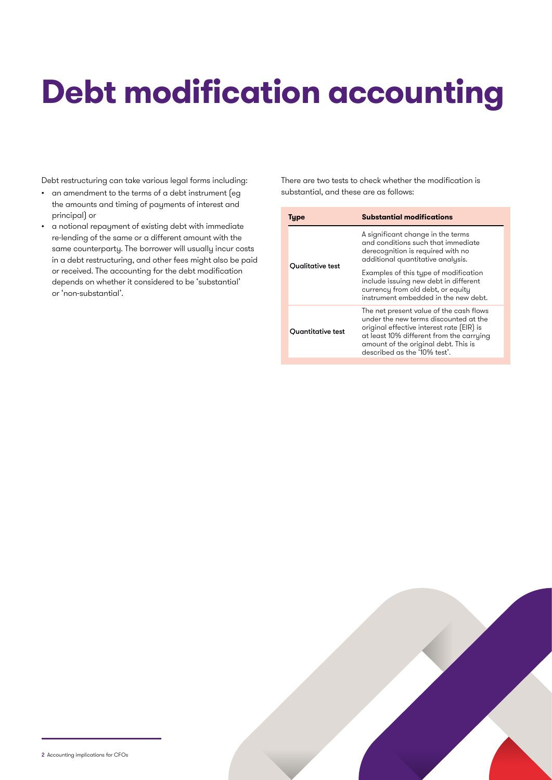## **Debt modification accounting**

Debt restructuring can take various legal forms including:

- an amendment to the terms of a debt instrument (eg the amounts and timing of payments of interest and principal) or
- a notional repayment of existing debt with immediate re-lending of the same or a different amount with the same counterparty. The borrower will usually incur costs in a debt restructuring, and other fees might also be paid or received. The accounting for the debt modification depends on whether it considered to be 'substantial' or 'non-substantial'.

There are two tests to check whether the modification is substantial, and these are as follows:

| Type                                                                                                                                                                                                                                                                          | <b>Substantial modifications</b>                                                                                                                            |  |
|-------------------------------------------------------------------------------------------------------------------------------------------------------------------------------------------------------------------------------------------------------------------------------|-------------------------------------------------------------------------------------------------------------------------------------------------------------|--|
| <b>Ouglitative test</b>                                                                                                                                                                                                                                                       | A significant change in the terms<br>and conditions such that immediate<br>derecognition is required with no<br>additional quantitative analysis.           |  |
|                                                                                                                                                                                                                                                                               | Examples of this type of modification<br>include issuing new debt in different<br>currency from old debt, or equity<br>instrument embedded in the new debt. |  |
| The net present value of the cash flows<br>under the new terms discounted at the<br>original effective interest rate (EIR) is<br><b>Ouantitative test</b><br>at least 10% different from the carrying<br>amount of the original debt. This is<br>described as the '10% test'. |                                                                                                                                                             |  |

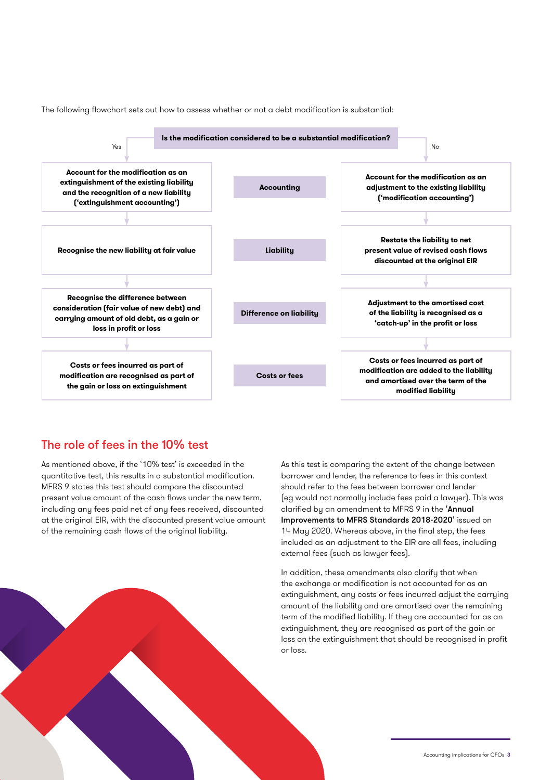The following flowchart sets out how to assess whether or not a debt modification is substantial:



## The role of fees in the 10% test

As mentioned above, if the '10% test' is exceeded in the quantitative test, this results in a substantial modification. MFRS 9 states this test should compare the discounted present value amount of the cash flows under the new term, including any fees paid net of any fees received, discounted at the original EIR, with the discounted present value amount of the remaining cash flows of the original liability.

As this test is comparing the extent of the change between borrower and lender, the reference to fees in this context should refer to the fees between borrower and lender (eg would not normally include fees paid a lawyer). This was clarified by an amendment to MFRS 9 in the 'Annual Improvements to M[FRS Standards 2018-2020'](https://www.grantthornton.global/globalassets/1.-member-firms/global/insights/article-pdfs/ifrs/alert-2020-05-narrow-scope-amendments.pdf) issued on 14 May 2020. Whereas above, in the final step, the fees included as an adjustment to the EIR are all fees, including external fees (such as lawyer fees).

In addition, these amendments also clarify that when the exchange or modification is not accounted for as an extinguishment, any costs or fees incurred adjust the carrying amount of the liability and are amortised over the remaining term of the modified liability. If they are accounted for as an extinguishment, they are recognised as part of the gain or loss on the extinguishment that should be recognised in profit or loss.

Accounting implications for CFOs 3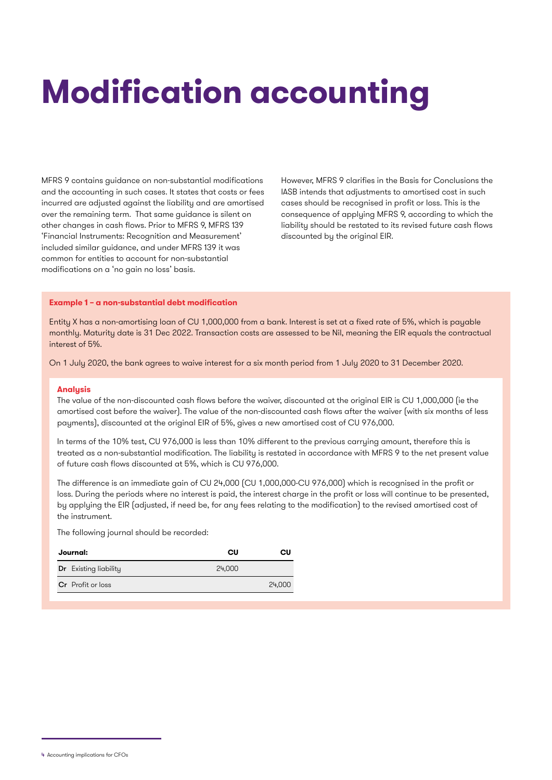## **Modification accounting**

MFRS 9 contains guidance on non-substantial modifications and the accounting in such cases. It states that costs or fees incurred are adjusted against the liability and are amortised over the remaining term. That same guidance is silent on other changes in cash flows. Prior to MFRS 9, MFRS 139 'Financial Instruments: Recognition and Measurement' included similar guidance, and under MFRS 139 it was common for entities to account for non-substantial modifications on a 'no gain no loss' basis.

However, MFRS 9 clarifies in the Basis for Conclusions the IASB intends that adjustments to amortised cost in such cases should be recognised in profit or loss. This is the consequence of applying MFRS 9, according to which the liability should be restated to its revised future cash flows discounted by the original EIR.

### **Example 1 – a non-substantial debt modification**

Entity X has a non-amortising loan of CU 1,000,000 from a bank. Interest is set at a fixed rate of 5%, which is payable monthly. Maturity date is 31 Dec 2022. Transaction costs are assessed to be Nil, meaning the EIR equals the contractual interest of 5%.

On 1 July 2020, the bank agrees to waive interest for a six month period from 1 July 2020 to 31 December 2020.

#### **Analysis**

The value of the non-discounted cash flows before the waiver, discounted at the original EIR is CU 1,000,000 (ie the amortised cost before the waiver). The value of the non-discounted cash flows after the waiver (with six months of less payments), discounted at the original EIR of 5%, gives a new amortised cost of CU 976,000.

In terms of the 10% test, CU 976,000 is less than 10% different to the previous carrying amount, therefore this is treated as a non-substantial modification. The liability is restated in accordance with MFRS 9 to the net present value of future cash flows discounted at 5%, which is CU 976,000.

The difference is an immediate gain of CU 24,000 (CU 1,000,000-CU 976,000) which is recognised in the profit or loss. During the periods where no interest is paid, the interest charge in the profit or loss will continue to be presented, by applying the EIR (adjusted, if need be, for any fees relating to the modification) to the revised amortised cost of the instrument.

The following journal should be recorded:

| Journal: |                              | Cυ     | Cυ     |
|----------|------------------------------|--------|--------|
|          | <b>Dr</b> Existing liability | 24,000 |        |
|          | <b>Cr</b> Profit or loss     |        | 24,000 |

<sup>4</sup> Accounting implications for CFOs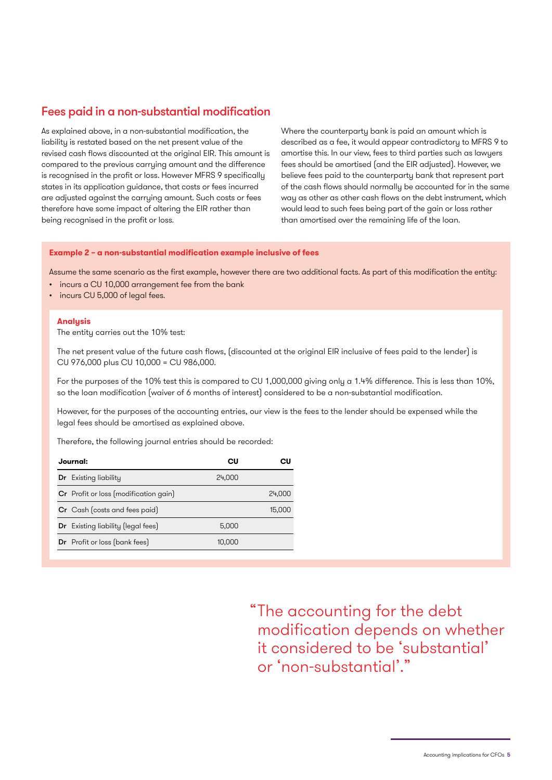## Fees paid in a non-substantial modification

As explained above, in a non-substantial modification, the liability is restated based on the net present value of the revised cash flows discounted at the original EIR. This amount is compared to the previous carrying amount and the difference is recognised in the profit or loss. However MFRS 9 specifically states in its application guidance, that costs or fees incurred are adjusted against the carrying amount. Such costs or fees therefore have some impact of altering the EIR rather than being recognised in the profit or loss.

Where the counterparty bank is paid an amount which is described as a fee, it would appear contradictory to MFRS 9 to amortise this. In our view, fees to third parties such as lawyers fees should be amortised (and the EIR adjusted). However, we believe fees paid to the counterparty bank that represent part of the cash flows should normally be accounted for in the same way as other as other cash flows on the debt instrument, which would lead to such fees being part of the gain or loss rather than amortised over the remaining life of the loan.

### **Example 2 – a non-substantial modification example inclusive of fees**

Assume the same scenario as the first example, however there are two additional facts. As part of this modification the entity:

- incurs a CU 10,000 arrangement fee from the bank
- incurs CU 5,000 of legal fees.

### **Analysis**

The entity carries out the 10% test:

The net present value of the future cash flows, (discounted at the original EIR inclusive of fees paid to the lender) is CU 976,000 plus CU 10,000 = CU 986,000.

For the purposes of the 10% test this is compared to CU 1,000,000 giving only a 1.4% difference. This is less than 10%, so the loan modification (waiver of 6 months of interest) considered to be a non-substantial modification.

However, for the purposes of the accounting entries, our view is the fees to the lender should be expensed while the legal fees should be amortised as explained above.

Therefore, the following journal entries should be recorded:

| Journal: |                                              | cυ     |        |
|----------|----------------------------------------------|--------|--------|
|          | <b>Dr</b> Existing liability                 | 24,000 |        |
|          | <b>Cr</b> Profit or loss (modification gain) |        | 24.000 |
|          | Cr Cash (costs and fees paid)                |        | 15.000 |
|          | Dr Existing liability (legal fees)           | 5.000  |        |
|          | <b>Dr</b> Profit or loss (bank fees)         | 10.000 |        |

The accounting for the debt "modification depends on whether it considered to be 'substantial' or 'non-substantial'."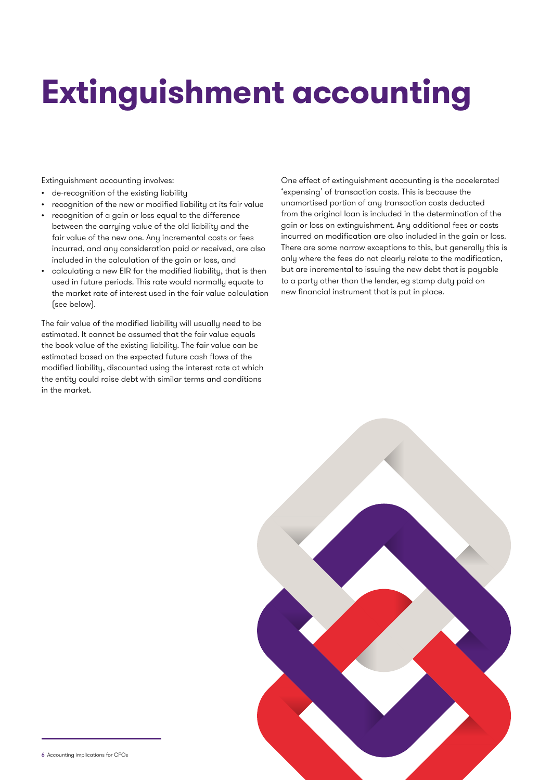# **Extinguishment accounting**

Extinguishment accounting involves:

- de-recognition of the existing liability
- recognition of the new or modified liability at its fair value
- recognition of a gain or loss equal to the difference between the carrying value of the old liability and the fair value of the new one. Any incremental costs or fees incurred, and any consideration paid or received, are also included in the calculation of the gain or loss, and
- calculating a new EIR for the modified liability, that is then used in future periods. This rate would normally equate to the market rate of interest used in the fair value calculation (see below).

The fair value of the modified liability will usually need to be estimated. It cannot be assumed that the fair value equals the book value of the existing liability. The fair value can be estimated based on the expected future cash flows of the modified liability, discounted using the interest rate at which the entity could raise debt with similar terms and conditions in the market.

One effect of extinguishment accounting is the accelerated 'expensing' of transaction costs. This is because the unamortised portion of any transaction costs deducted from the original loan is included in the determination of the gain or loss on extinguishment. Any additional fees or costs incurred on modification are also included in the gain or loss. There are some narrow exceptions to this, but generally this is only where the fees do not clearly relate to the modification, but are incremental to issuing the new debt that is payable to a party other than the lender, eg stamp duty paid on new financial instrument that is put in place.

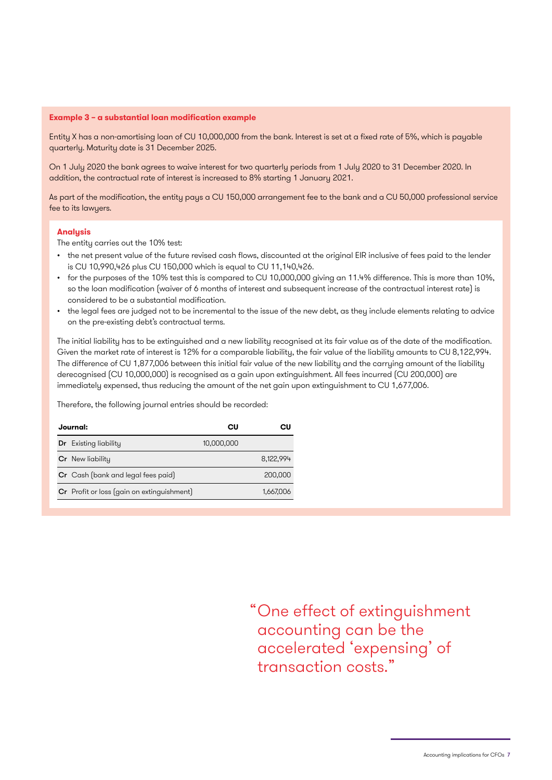### **Example 3 – a substantial loan modification example**

Entity X has a non-amortising loan of CU 10,000,000 from the bank. Interest is set at a fixed rate of 5%, which is payable quarterly. Maturity date is 31 December 2025.

On 1 July 2020 the bank agrees to waive interest for two quarterly periods from 1 July 2020 to 31 December 2020. In addition, the contractual rate of interest is increased to 8% starting 1 January 2021.

As part of the modification, the entity pays a CU 150,000 arrangement fee to the bank and a CU 50,000 professional service fee to its lawyers.

#### **Analysis**

The entity carries out the 10% test:

- the net present value of the future revised cash flows, discounted at the original EIR inclusive of fees paid to the lender is CU 10,990,426 plus CU 150,000 which is equal to CU 11,140,426.
- for the purposes of the 10% test this is compared to CU 10,000,000 giving an 11.4% difference. This is more than 10%, so the loan modification (waiver of 6 months of interest and subsequent increase of the contractual interest rate) is considered to be a substantial modification.
- the legal fees are judged not to be incremental to the issue of the new debt, as they include elements relating to advice on the pre-existing debt's contractual terms.

The initial liability has to be extinguished and a new liability recognised at its fair value as of the date of the modification. Given the market rate of interest is 12% for a comparable liability, the fair value of the liability amounts to CU 8,122,994. The difference of CU 1,877,006 between this initial fair value of the new liability and the carrying amount of the liability derecognised (CU 10,000,000) is recognised as a gain upon extinguishment. All fees incurred (CU 200,000) are immediately expensed, thus reducing the amount of the net gain upon extinguishment to CU 1,677,006.

Therefore, the following journal entries should be recorded:

| Journal: |                                            | cυ         | СU        |
|----------|--------------------------------------------|------------|-----------|
|          | <b>Dr</b> Existing liability               | 10,000,000 |           |
|          | <b>Cr</b> New liability                    |            | 8,122,994 |
|          | Cr Cash (bank and legal fees paid)         |            | 200,000   |
|          | Cr Profit or loss (gain on extinguishment) |            | 1,667,006 |

One effect of extinguishment "accounting can be the accelerated 'expensing' of transaction costs."